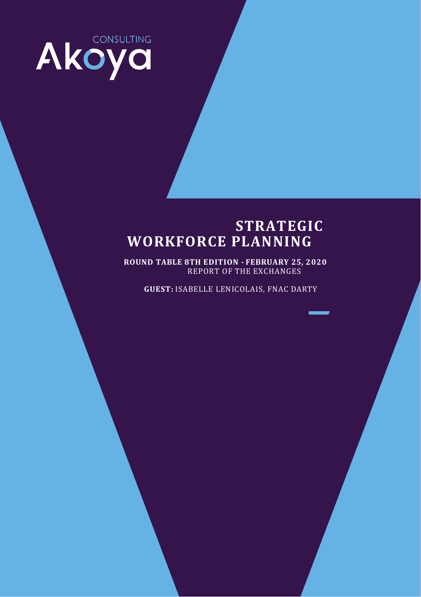

## **STRATEGIC WORKFORCE PLANNING**

**ROUND TABLE 8TH EDITION - FEBRUARY 25, 2020** REPORT OF THE EXCHANGES

**GUEST:** ISABELLE LENICOLAIS, FNAC DARTY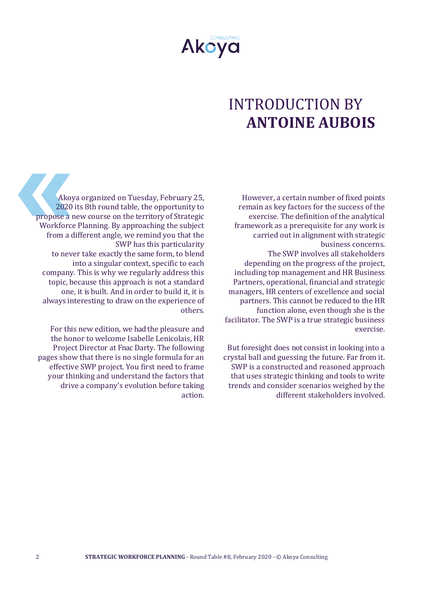

# INTRODUCTION BY **ANTOINE AUBOIS**

However, a certain number of fixed points remain as key factors for the success of the exercise. The definition of the analytical framework as a prerequisite for any work is carried out in alignment with strategic business concerns. The SWP involves all stakeholders depending on the progress of the project, including top management and HR Business Partners, operational, financial and strategic managers, HR centers of excellence and social partners. This cannot be reduced to the HR function alone, even though she is the facilitator. The SWP is a true strategic business exercise.

But foresight does not consist in looking into a crystal ball and guessing the future. Far from it. SWP is a constructed and reasoned approach that uses strategic thinking and tools to write trends and consider scenarios weighed by the different stakeholders involved.

Akoya organized on Tuesday, February 25, 2020 its 8th round table, the opportunity to propose a new course on the territory of Strategic Workforce Planning. By approaching the subject from a different angle, we remind you that the SWP has this particularity to never take exactly the same form, to blend into a singular context, specific to each company. This is why we regularly address this topic, because this approach is not a standard one, it is built. And in order to build it, it is always interesting to draw on the experience of others.

For this new edition, we had the pleasure and the honor to welcome Isabelle Lenicolais, HR Project Director at Fnac Darty. The following pages show that there is no single formula for an effective SWP project. You first need to frame your thinking and understand the factors that drive a company's evolution before taking action.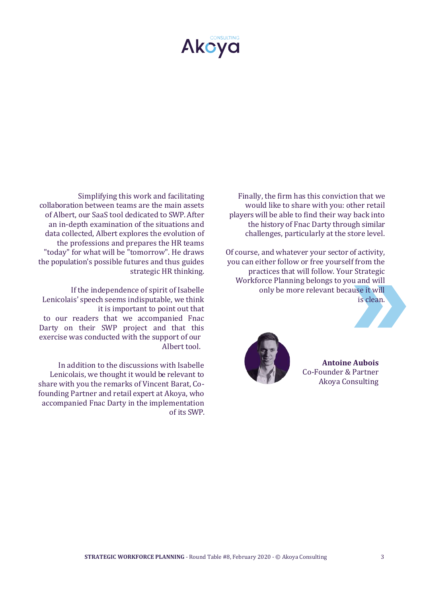

Finally, the firm has this conviction that we would like to share with you: other retail players will be able to find their way back into the history of Fnac Darty through similar challenges, particularly at the store level.

Of course, and whatever your sector of activity, you can either follow or free yourself from the practices that will follow. Your Strategic Workforce Planning belongs to you and will only be more relevant because it will is clean.

> **Antoine Aubois**  Co-Founder & Partner Akoya Consulting



Simplifying this work and facilitating collaboration between teams are the main assets of Albert, our SaaS tool dedicated to SWP. After an in-depth examination of the situations and data collected, Albert explores the evolution of the professions and prepares the HR teams "today" for what will be "tomorrow". He draws the population's possible futures and thus guides strategic HR thinking.

If the independence of spirit of Isabelle Lenicolais' speech seems indisputable, we think it is important to point out that to our readers that we accompanied Fnac Darty on their SWP project and that this exercise was conducted with the support of our Albert tool.

In addition to the discussions with Isabelle Lenicolais, we thought it would be relevant to share with you the remarks of Vincent Barat, Cofounding Partner and retail expert at Akoya, who accompanied Fnac Darty in the implementation of its SWP.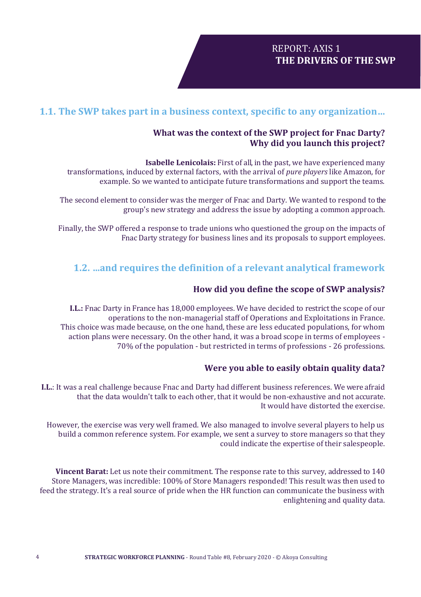## **1.1. The SWP takes part in a business context, specific to any organization…**

#### **What was the context of the SWP project for Fnac Darty? Why did you launch this project?**

**Isabelle Lenicolais:** First of all, in the past, we have experienced many transformations, induced by external factors, with the arrival of *pure players* like Amazon, for example. So we wanted to anticipate future transformations and support the teams.

The second element to consider was the merger of Fnac and Darty. We wanted to respond to the group's new strategy and address the issue by adopting a common approach.

Finally, the SWP offered a response to trade unions who questioned the group on the impacts of Fnac Darty strategy for business lines and its proposals to support employees.

## **1.2. ...and requires the definition of a relevant analytical framework**

#### **How did you define the scope of SWP analysis?**

**I.L.:** Fnac Darty in France has 18,000 employees. We have decided to restrict the scope of our operations to the non-managerial staff of Operations and Exploitations in France. This choice was made because, on the one hand, these are less educated populations, for whom action plans were necessary. On the other hand, it was a broad scope in terms of employees - 70% of the population - but restricted in terms of professions - 26 professions.

#### **Were you able to easily obtain quality data?**

**I.L.**: It was a real challenge because Fnac and Darty had different business references. We were afraid that the data wouldn't talk to each other, that it would be non-exhaustive and not accurate. It would have distorted the exercise.

However, the exercise was very well framed. We also managed to involve several players to help us build a common reference system. For example, we sent a survey to store managers so that they could indicate the expertise of their salespeople.

**Vincent Barat:** Let us note their commitment. The response rate to this survey, addressed to 140 Store Managers, was incredible: 100% of Store Managers responded! This result was then used to feed the strategy. It's a real source of pride when the HR function can communicate the business with enlightening and quality data.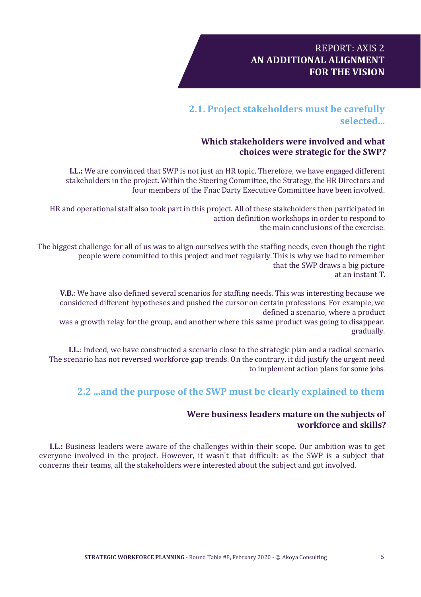## REPORT: AXIS 2 **AN ADDITIONAL ALIGNMENT FOR THE VISION**

## **2.1. Project stakeholders must be carefully selected...**

## **Which stakeholders were involved and what choices were strategic for the SWP?**

**I.L.:** We are convinced that SWP is not just an HR topic. Therefore, we have engaged different stakeholders in the project. Within the Steering Committee, the Strategy, theHR Directors and four members of the Fnac Darty Executive Committee have been involved.

HR and operational staff also took part in this project. All of these stakeholders then participated in action definition workshops in order to respond to the main conclusions of the exercise.

The biggest challenge for all of us was to align ourselves with the staffing needs, even though the right people were committed to this project and met regularly. This is why we had to remember that the SWP draws a big picture at an instant T.

**V.B.**: We have also defined several scenarios for staffing needs. This was interesting because we considered different hypotheses and pushed the cursor on certain professions. For example, we defined a scenario, where a product

was a growth relay for the group, and another where this same product was going to disappear. gradually.

**I.L.**: Indeed, we have constructed a scenario close to the strategic plan and a radical scenario. The scenario has not reversed workforce gap trends. On the contrary, it did justify the urgent need to implement action plans for some jobs.

## **2.2 ...and the purpose of the SWP must be clearly explained to them**

#### **Were business leaders mature on the subjects of workforce and skills?**

**I.L.:** Business leaders were aware of the challenges within their scope. Our ambition was to get everyone involved in the project. However, it wasn't that difficult: as the SWP is a subject that concerns their teams, all the stakeholders were interested about the subject and got involved.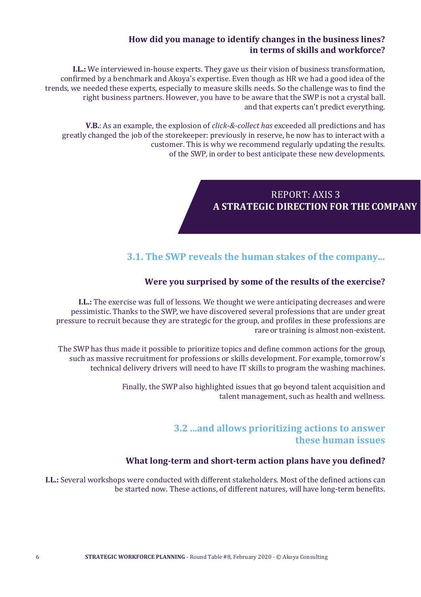#### **How did you manage to identify changes in the business lines? in terms of skills and workforce?**

**I.L.:** We interviewed in-house experts. They gave us their vision of business transformation, confirmed by a benchmark and Akoya's expertise. Even though as HR we had a good idea of the trends, we needed these experts, especially to measure skills needs. So the challenge was to find the right business partners. However, you have to be aware that the SWP is not a crystal ball. and that experts can't predict everything.

**V.B.**: As an example, the explosion of *click-&-collect has* exceeded all predictions and has greatly changed the job of the storekeeper: previously in reserve, he now has to interact with a customer. This is why we recommend regularly updating the results. of the SWP, in order to best anticipate these new developments.

## REPORT: AXIS 3 **A STRATEGIC DIRECTION FOR THE COMPANY**

## **3.1. The SWP reveals the human stakes of the company...**

## **Were you surprised by some of the results of the exercise?**

**I.L.:** The exercise was full of lessons. We thought we were anticipating decreases and were pessimistic. Thanks to the SWP, we have discovered several professions that are under great pressure to recruit because they are strategic for the group, and profiles in these professions are rare or training is almost non-existent.

The SWP has thus made it possible to prioritize topics and define common actions for the group, such as massive recruitment for professions or skills development. For example, tomorrow's technical delivery drivers will need to have IT skills to program the washing machines.

> Finally, the SWP also highlighted issues that go beyond talent acquisition and talent management, such as health and wellness.

## **3.2 ...and allows prioritizing actions to answer these human issues**

#### **What long-term and short-term action plans have you defined?**

**I.L.:** Several workshops were conducted with different stakeholders. Most of the defined actions can be started now. These actions, of different natures, will have long-term benefits.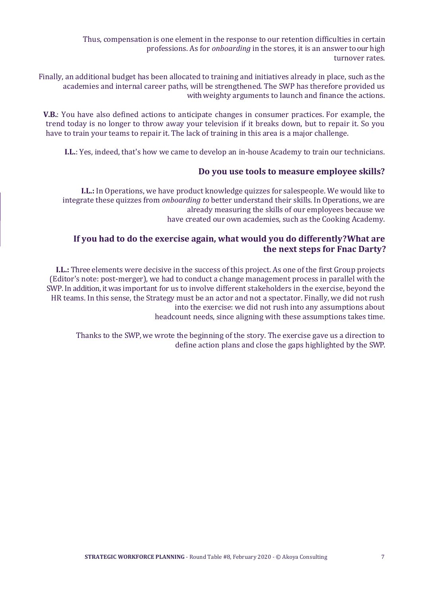Thus, compensation is one element in the response to our retention difficulties in certain professions. As for *onboarding* in the stores, it is an answer to our high turnover rates.

Finally, an additional budget has been allocated to training and initiatives already in place, such as the academies and internal career paths, will be strengthened. The SWP has therefore provided us with weighty arguments to launch and finance the actions.

**V.B.**: You have also defined actions to anticipate changes in consumer practices. For example, the trend today is no longer to throw away your television if it breaks down, but to repair it. So you have to train your teams to repair it. The lack of training in this area is a major challenge.

**I.L.**: Yes, indeed, that's how we came to develop an in-house Academy to train our technicians.

#### **Do you use tools to measure employee skills?**

**I.L.:** In Operations, we have product knowledge quizzes for salespeople. We would like to integrate these quizzes from *onboarding to* better understand their skills. In Operations, we are already measuring the skills of our employees because we have created our own academies, such as the Cooking Academy.

## **If you had to do the exercise again, what would you do differently? What are the next steps for Fnac Darty?**

**I.L.:** Three elements were decisive in the success of this project. As one of the first Group projects (Editor's note: post-merger), we had to conduct a change management process in parallel with the SWP. In addition, it was important for us to involve different stakeholders in the exercise, beyond the HR teams. In this sense, the Strategy must be an actor and not a spectator. Finally, we did not rush into the exercise: we did not rush into any assumptions about headcount needs, since aligning with these assumptions takes time.

Thanks to the SWP, we wrote the beginning of the story. The exercise gave us a direction to define action plans and close the gaps highlighted by the SWP.